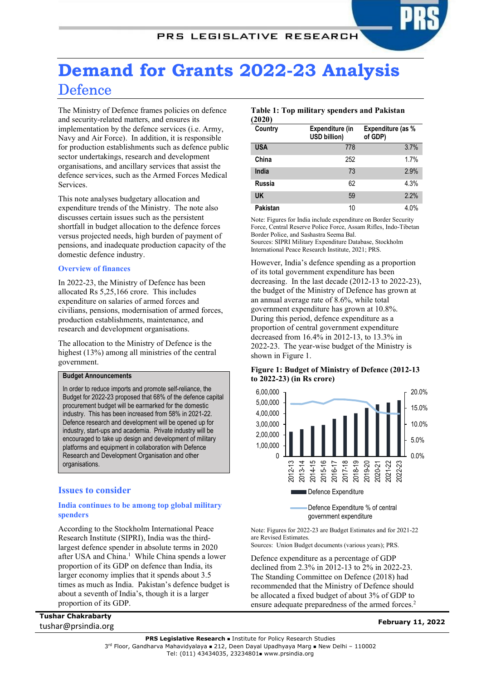# Demand for Grants 2022-23 Analysis **Defence**

The Ministry of Defence frames policies on defence and security-related matters, and ensures its implementation by the defence services (i.e. Army, Navy and Air Force). In addition, it is responsible for production establishments such as defence public sector undertakings, research and development organisations, and ancillary services that assist the defence services, such as the Armed Forces Medical **Services** 

This note analyses budgetary allocation and expenditure trends of the Ministry. The note also discusses certain issues such as the persistent shortfall in budget allocation to the defence forces versus projected needs, high burden of payment of pensions, and inadequate production capacity of the domestic defence industry.

## Overview of finances

In 2022-23, the Ministry of Defence has been allocated Rs 5,25,166 crore. This includes expenditure on salaries of armed forces and civilians, pensions, modernisation of armed forces, production establishments, maintenance, and research and development organisations.

The allocation to the Ministry of Defence is the highest (13%) among all ministries of the central government.

## Budget Announcements

In order to reduce imports and promote self-reliance, the Budget for 2022-23 proposed that 68% of the defence capital procurement budget will be earmarked for the domestic industry. This has been increased from 58% in 2021-22. Defence research and development will be opened up for industry, start-ups and academia. Private industry will be encouraged to take up design and development of military platforms and equipment in collaboration with Defence Research and Development Organisation and other organisations.

## Issues to consider

## India continues to be among top global military spenders

According to the Stockholm International Peace Research Institute (SIPRI), India was the thirdlargest defence spender in absolute terms in 2020 after USA and China.<sup>1</sup> While China spends a lower proportion of its GDP on defence than India, its larger economy implies that it spends about 3.5 times as much as India. Pakistan's defence budget is about a seventh of India's, though it is a larger proportion of its GDP.

## Tushar Chakrabarty tushar@prsindia.org February 11, 2022

## Table 1: Top military spenders and Pakistan (2020)

| Country    | Expenditure (in<br><b>USD billion)</b> | Expenditure (as %<br>of GDP) |
|------------|----------------------------------------|------------------------------|
| <b>USA</b> | 778                                    | 3.7%                         |
| China      | 252                                    | 1.7%                         |
| India      | 73                                     | 2.9%                         |
| Russia     | 62                                     | 4.3%                         |
| <b>UK</b>  | 59                                     | 2.2%                         |
| Pakistan   | 10                                     | 4.0%                         |

Note: Figures for India include expenditure on Border Security Force, Central Reserve Police Force, Assam Rifles, Indo-Tibetan Border Police, and Sashastra Seema Bal. Sources: SIPRI Military Expenditure Database, Stockholm International Peace Research Institute, 2021; PRS.

However, India's defence spending as a proportion of its total government expenditure has been decreasing. In the last decade (2012-13 to 2022-23), the budget of the Ministry of Defence has grown at an annual average rate of 8.6%, while total government expenditure has grown at 10.8%. During this period, defence expenditure as a proportion of central government expenditure decreased from 16.4% in 2012-13, to 13.3% in 2022-23. The year-wise budget of the Ministry is shown in Figure 1.

## Figure 1: Budget of Ministry of Defence (2012-13 to 2022-23) (in Rs crore)



government expenditure

Note: Figures for 2022-23 are Budget Estimates and for 2021-22 are Revised Estimates.

Sources: Union Budget documents (various years); PRS.

Defence expenditure as a percentage of GDP declined from 2.3% in 2012-13 to 2% in 2022-23. The Standing Committee on Defence (2018) had recommended that the Ministry of Defence should be allocated a fixed budget of about 3% of GDP to ensure adequate preparedness of the armed forces.<sup>2</sup>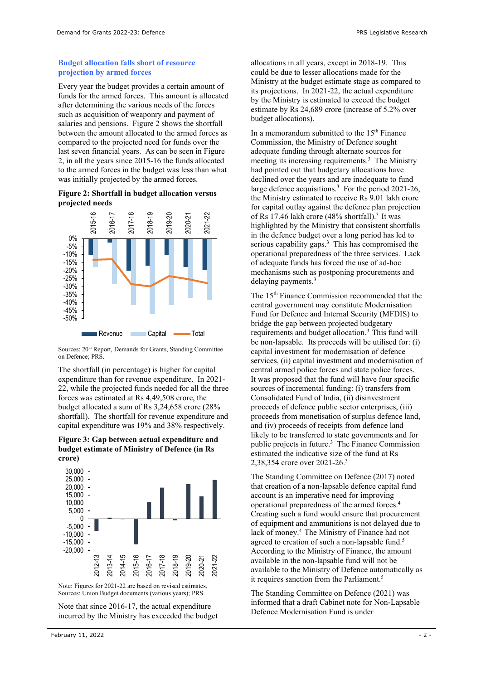## Budget allocation falls short of resource projection by armed forces

Every year the budget provides a certain amount of funds for the armed forces. This amount is allocated after determining the various needs of the forces such as acquisition of weaponry and payment of salaries and pensions. Figure 2 shows the shortfall between the amount allocated to the armed forces as compared to the projected need for funds over the last seven financial years. As can be seen in Figure 2, in all the years since 2015-16 the funds allocated to the armed forces in the budget was less than what was initially projected by the armed forces.

### Figure 2: Shortfall in budget allocation versus projected needs



Sources: 20<sup>th</sup> Report, Demands for Grants, Standing Committee on Defence; PRS.

The shortfall (in percentage) is higher for capital expenditure than for revenue expenditure. In 2021- 22, while the projected funds needed for all the three forces was estimated at Rs 4,49,508 crore, the budget allocated a sum of Rs 3,24,658 crore (28% shortfall). The shortfall for revenue expenditure and capital expenditure was 19% and 38% respectively.

#### Figure 3: Gap between actual expenditure and budget estimate of Ministry of Defence (in Rs crore)



Note: Figures for 2021-22 are based on revised estimates. Sources: Union Budget documents (various years); PRS.

Note that since 2016-17, the actual expenditure incurred by the Ministry has exceeded the budget allocations in all years, except in 2018-19. This could be due to lesser allocations made for the Ministry at the budget estimate stage as compared to its projections. In 2021-22, the actual expenditure by the Ministry is estimated to exceed the budget estimate by Rs 24,689 crore (increase of 5.2% over budget allocations).

In a memorandum submitted to the  $15<sup>th</sup>$  Finance Commission, the Ministry of Defence sought adequate funding through alternate sources for meeting its increasing requirements.<sup>3</sup> The Ministry had pointed out that budgetary allocations have declined over the years and are inadequate to fund large defence acquisitions.<sup>3</sup> For the period 2021-26, the Ministry estimated to receive Rs 9.01 lakh crore for capital outlay against the defence plan projection of Rs 17.46 lakh crore  $(48\% \text{ shortfall})$ .<sup>3</sup> It was highlighted by the Ministry that consistent shortfalls in the defence budget over a long period has led to serious capability gaps. $3$  This has compromised the operational preparedness of the three services. Lack of adequate funds has forced the use of ad-hoc mechanisms such as postponing procurements and delaying payments.<sup>3</sup>

The 15th Finance Commission recommended that the central government may constitute Modernisation Fund for Defence and Internal Security (MFDIS) to bridge the gap between projected budgetary requirements and budget allocation.<sup>3</sup> This fund will be non-lapsable. Its proceeds will be utilised for: (i) capital investment for modernisation of defence services, (ii) capital investment and modernisation of central armed police forces and state police forces. It was proposed that the fund will have four specific sources of incremental funding: (i) transfers from Consolidated Fund of India, (ii) disinvestment proceeds of defence public sector enterprises, (iii) proceeds from monetisation of surplus defence land, and (iv) proceeds of receipts from defence land likely to be transferred to state governments and for public projects in future.<sup>3</sup> The Finance Commission estimated the indicative size of the fund at Rs 2,38,354 crore over 2021-26.<sup>3</sup>

The Standing Committee on Defence (2017) noted that creation of a non-lapsable defence capital fund account is an imperative need for improving operational preparedness of the armed forces.<sup>4</sup> Creating such a fund would ensure that procurement of equipment and ammunitions is not delayed due to lack of money.<sup>4</sup> The Ministry of Finance had not agreed to creation of such a non-lapsable fund.<sup>5</sup> According to the Ministry of Finance, the amount available in the non-lapsable fund will not be  $\frac{27}{12}$   $\frac{47}{12}$   $\frac{67}{12}$   $\frac{67}{12}$   $\frac{67}{12}$   $\frac{67}{12}$   $\frac{67}{12}$   $\frac{67}{12}$   $\frac{67}{12}$   $\frac{67}{12}$   $\frac{67}{12}$   $\frac{67}{12}$   $\frac{67}{12}$   $\frac{67}{12}$   $\frac{67}{12}$   $\frac{67}{12}$   $\frac{67}{12}$   $\frac{67}{12}$   $\frac{6$ it requires sanction from the Parliament.<sup>5</sup>

> The Standing Committee on Defence (2021) was informed that a draft Cabinet note for Non-Lapsable Defence Modernisation Fund is under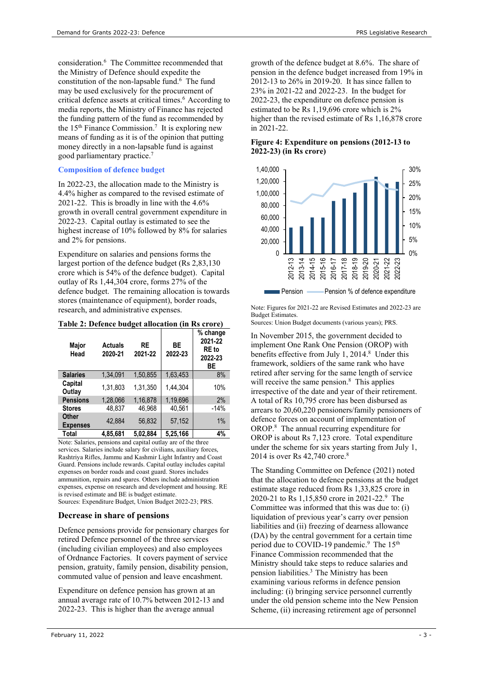consideration.<sup>6</sup> The Committee recommended that the Ministry of Defence should expedite the constitution of the non-lapsable fund.<sup>6</sup> The fund may be used exclusively for the procurement of critical defence assets at critical times.<sup>6</sup> According to media reports, the Ministry of Finance has rejected the funding pattern of the fund as recommended by the  $15<sup>th</sup>$  Finance Commission.<sup>7</sup> It is exploring new means of funding as it is of the opinion that putting money directly in a non-lapsable fund is against good parliamentary practice.<sup>7</sup>

## Composition of defence budget

In 2022-23, the allocation made to the Ministry is 4.4% higher as compared to the revised estimate of 2021-22. This is broadly in line with the 4.6% growth in overall central government expenditure in 2022-23. Capital outlay is estimated to see the highest increase of 10% followed by 8% for salaries and 2% for pensions.

Expenditure on salaries and pensions forms the largest portion of the defence budget (Rs 2,83,130 crore which is 54% of the defence budget). Capital outlay of Rs 1,44,304 crore, forms 27% of the defence budget. The remaining allocation is towards stores (maintenance of equipment), border roads, research, and administrative expenses.

| Major<br>Head                   | <b>Actuals</b><br>2020-21 | <b>RE</b><br>2021-22 | ВE<br>2022-23 | % change<br>2021-22<br>RE to<br>2022-23<br>ВE |
|---------------------------------|---------------------------|----------------------|---------------|-----------------------------------------------|
| <b>Salaries</b>                 | 1.34.091                  | 1,50,855             | 1,63,453      | 8%                                            |
| Capital<br>Outlay               | 1,31,803                  | 1,31,350             | 1.44.304      | 10%                                           |
| <b>Pensions</b>                 | 1.28.066                  | 1,16,878             | 1,19,696      | 2%                                            |
| <b>Stores</b>                   | 48.837                    | 46.968               | 40.561        | $-14%$                                        |
| <b>Other</b><br><b>Expenses</b> | 42,884                    | 56.832               | 57,152        | 1%                                            |
| Total                           | 4,85,681                  | 5.02.884             | 5,25,166      | 4%                                            |

## Table 2: Defence budget allocation (in Rs crore)

Note: Salaries, pensions and capital outlay are of the three services. Salaries include salary for civilians, auxiliary forces, Rashtriya Rifles, Jammu and Kashmir Light Infantry and Coast Guard. Pensions include rewards. Capital outlay includes capital expenses on border roads and coast guard. Stores includes ammunition, repairs and spares. Others include administration expenses, expense on research and development and housing. RE is revised estimate and BE is budget estimate. Sources: Expenditure Budget, Union Budget 2022-23; PRS.

## Decrease in share of pensions

Defence pensions provide for pensionary charges for retired Defence personnel of the three services (including civilian employees) and also employees of Ordnance Factories. It covers payment of service pension, gratuity, family pension, disability pension, commuted value of pension and leave encashment.

Expenditure on defence pension has grown at an annual average rate of 10.7% between 2012-13 and 2022-23. This is higher than the average annual

growth of the defence budget at 8.6%. The share of pension in the defence budget increased from 19% in 2012-13 to 26% in 2019-20. It has since fallen to 23% in 2021-22 and 2022-23. In the budget for 2022-23, the expenditure on defence pension is estimated to be Rs 1,19,696 crore which is 2% higher than the revised estimate of Rs 1,16,878 crore in 2021-22.

## Figure 4: Expenditure on pensions (2012-13 to 2022-23) (in Rs crore)



Note: Figures for 2021-22 are Revised Estimates and 2022-23 are Budget Estimates.

Sources: Union Budget documents (various years); PRS.

In November 2015, the government decided to implement One Rank One Pension (OROP) with benefits effective from July 1, 2014.<sup>8</sup> Under this framework, soldiers of the same rank who have retired after serving for the same length of service will receive the same pension.<sup>8</sup> This applies irrespective of the date and year of their retirement. A total of Rs 10,795 crore has been disbursed as arrears to 20,60,220 pensioners/family pensioners of defence forces on account of implementation of OROP.<sup>8</sup> The annual recurring expenditure for OROP is about Rs 7,123 crore. Total expenditure under the scheme for six years starting from July 1, 2014 is over Rs 42,740 crore.<sup>8</sup>

The Standing Committee on Defence (2021) noted that the allocation to defence pensions at the budget estimate stage reduced from Rs 1,33,825 crore in 2020-21 to Rs 1,15,850 crore in 2021-22.<sup>9</sup> The Committee was informed that this was due to: (i) liquidation of previous year's carry over pension liabilities and (ii) freezing of dearness allowance (DA) by the central government for a certain time period due to COVID-19 pandemic.<sup>9</sup> The 15<sup>th</sup> Finance Commission recommended that the Ministry should take steps to reduce salaries and pension liabilities. $3$  The Ministry has been examining various reforms in defence pension including: (i) bringing service personnel currently under the old pension scheme into the New Pension Scheme, (ii) increasing retirement age of personnel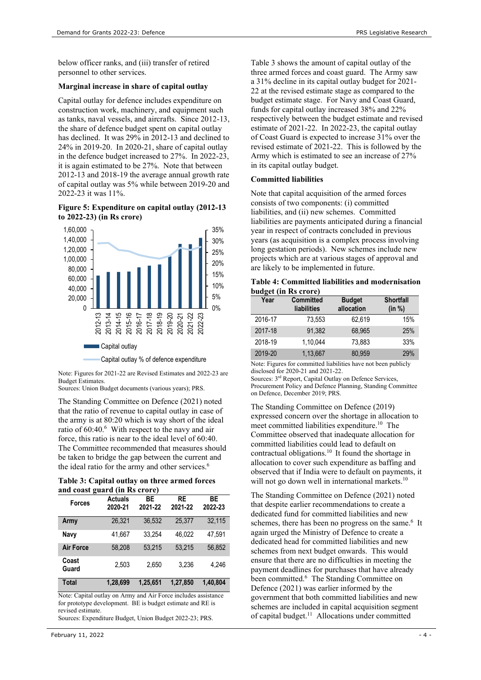below officer ranks, and (iii) transfer of retired personnel to other services.

## Marginal increase in share of capital outlay

Capital outlay for defence includes expenditure on construction work, machinery, and equipment such as tanks, naval vessels, and aircrafts. Since 2012-13, the share of defence budget spent on capital outlay has declined. It was 29% in 2012-13 and declined to 24% in 2019-20. In 2020-21, share of capital outlay in the defence budget increased to 27%. In 2022-23, it is again estimated to be 27%. Note that between 2012-13 and 2018-19 the average annual growth rate of capital outlay was 5% while between 2019-20 and 2022-23 it was 11%.

## Figure 5: Expenditure on capital outlay (2012-13 to 2022-23) (in Rs crore)



Note: Figures for 2021-22 are Revised Estimates and 2022-23 are Budget Estimates.

Sources: Union Budget documents (various years); PRS.

The Standing Committee on Defence (2021) noted that the ratio of revenue to capital outlay in case of the army is at 80:20 which is way short of the ideal ratio of 60:40.<sup>6</sup> With respect to the navy and air force, this ratio is near to the ideal level of 60:40. The Committee recommended that measures should be taken to bridge the gap between the current and the ideal ratio for the army and other services.<sup>6</sup>

| Table 3: Capital outlay on three armed forces |  |
|-----------------------------------------------|--|
| and coast guard (in Rs crore)                 |  |

| ੂ<br><b>Forces</b> | <b>Actuals</b><br>2020-21 | <b>BE</b><br>2021-22 | <b>RE</b><br>2021-22 | ВE<br>2022-23 |
|--------------------|---------------------------|----------------------|----------------------|---------------|
| Army               | 26,321                    | 36.532               | 25.377               | 32,115        |
| Navy               | 41.667                    | 33.254               | 46.022               | 47.591        |
| <b>Air Force</b>   | 58.208                    | 53.215               | 53.215               | 56.852        |
| Coast<br>Guard     | 2,503                     | 2.650                | 3.236                | 4.246         |
| Total              | 1,28,699                  | 1,25,651             | 1,27,850             | 1,40,804      |

Note: Capital outlay on Army and Air Force includes assistance for prototype development. BE is budget estimate and RE is revised estimate.

Sources: Expenditure Budget, Union Budget 2022-23; PRS.

Table 3 shows the amount of capital outlay of the three armed forces and coast guard. The Army saw a 31% decline in its capital outlay budget for 2021- 22 at the revised estimate stage as compared to the budget estimate stage. For Navy and Coast Guard, funds for capital outlay increased 38% and 22% respectively between the budget estimate and revised estimate of 2021-22. In 2022-23, the capital outlay of Coast Guard is expected to increase 31% over the revised estimate of 2021-22. This is followed by the Army which is estimated to see an increase of 27% in its capital outlay budget.

## Committed liabilities

Note that capital acquisition of the armed forces consists of two components: (i) committed liabilities, and (ii) new schemes. Committed liabilities are payments anticipated during a financial year in respect of contracts concluded in previous 35% years (as acquisition is a complex process involving 30% long gestation periods). New schemes include new 25% projects which are at various stages of approval and 20% are likely to be implemented in future.

| 15%  |                                                  |
|------|--------------------------------------------------|
| 10%  | Table 4: Committed liabilities and modernisation |
|      | budget (in Rs crore)                             |
| $-0$ |                                                  |

|    | $\sim$ - - - - - - 1 |                  |               |                  |
|----|----------------------|------------------|---------------|------------------|
| 5% | Year                 | <b>Committed</b> | <b>Budget</b> | <b>Shortfall</b> |
| 0% |                      | liabilities      | allocation    | (in %)           |
|    | 2016-17              | 73,553           | 62,619        | 15%              |
|    | 2017-18              | 91,382           | 68,965        | 25%              |
|    | 2018-19              | 1,10,044         | 73,883        | 33%              |
|    | 2019-20              | 1,13,667         | 80,959        | 29%              |

Note: Figures for committed liabilities have not been publicly disclosed for 2020-21 and 2021-22.

Sources: 3rd Report, Capital Outlay on Defence Services, Procurement Policy and Defence Planning, Standing Committee on Defence, December 2019; PRS.

The Standing Committee on Defence (2019) expressed concern over the shortage in allocation to meet committed liabilities expenditure.<sup>10</sup> The Committee observed that inadequate allocation for committed liabilities could lead to default on contractual obligations.<sup>10</sup> It found the shortage in allocation to cover such expenditure as baffing and observed that if India were to default on payments, it will not go down well in international markets.<sup>10</sup>

The Standing Committee on Defence (2021) noted that despite earlier recommendations to create a dedicated fund for committed liabilities and new schemes, there has been no progress on the same.<sup>6</sup> It again urged the Ministry of Defence to create a dedicated head for committed liabilities and new schemes from next budget onwards. This would ensure that there are no difficulties in meeting the payment deadlines for purchases that have already been committed.<sup>6</sup> The Standing Committee on Defence (2021) was earlier informed by the government that both committed liabilities and new schemes are included in capital acquisition segment of capital budget.<sup>11</sup> Allocations under committed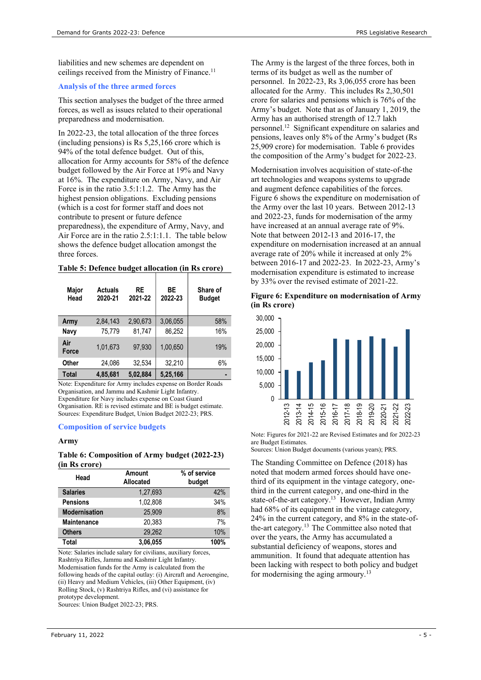liabilities and new schemes are dependent on ceilings received from the Ministry of Finance.<sup>11</sup>

## Analysis of the three armed forces

This section analyses the budget of the three armed forces, as well as issues related to their operational preparedness and modernisation.

In 2022-23, the total allocation of the three forces (including pensions) is Rs 5,25,166 crore which is 94% of the total defence budget. Out of this, allocation for Army accounts for 58% of the defence budget followed by the Air Force at 19% and Navy at 16%. The expenditure on Army, Navy, and Air Force is in the ratio 3.5:1:1.2. The Army has the highest pension obligations. Excluding pensions (which is a cost for former staff and does not contribute to present or future defence preparedness), the expenditure of Army, Navy, and Air Force are in the ratio 2.5:1:1.1. The table below shows the defence budget allocation amongst the three forces.

## Table 5: Defence budget allocation (in Rs crore)

| Major<br>Head | <b>Actuals</b><br>2020-21 | <b>RE</b><br>2021-22 | ВE<br>2022-23 | Share of<br><b>Budget</b> |
|---------------|---------------------------|----------------------|---------------|---------------------------|
| Army          | 2,84,143                  | 2.90.673             | 3,06,055      | 58%                       |
| Navy          | 75.779                    | 81,747               | 86,252        | 16%                       |
| Air<br>Force  | 1,01,673                  | 97,930               | 1.00.650      | 19%                       |
| Other         | 24,086                    | 32.534               | 32,210        | 6%                        |
| <b>Total</b>  | 4,85,681                  | 5,02,884             | 5,25,166      |                           |

Note: Expenditure for Army includes expense on Border Roads Organisation, and Jammu and Kashmir Light Infantry. Expenditure for Navy includes expense on Coast Guard Organisation. RE is revised estimate and BE is budget estimate. Sources: Expenditure Budget, Union Budget 2022-23; PRS.

#### Composition of service budgets

#### Army

#### Table 6: Composition of Army budget (2022-23) (in Rs crore)

| Head                 | Amount<br>Allocated |      |
|----------------------|---------------------|------|
| <b>Salaries</b>      | 1,27,693            | 42%  |
| <b>Pensions</b>      | 1,02,808            | 34%  |
| <b>Modernisation</b> | 25.909              | 8%   |
| <b>Maintenance</b>   | 20.383              | 7%   |
| <b>Others</b>        | 29.262              | 10%  |
| Total                | 3,06,055            | 100% |

Note: Salaries include salary for civilians, auxiliary forces, Rashtriya Rifles, Jammu and Kashmir Light Infantry. Modernisation funds for the Army is calculated from the following heads of the capital outlay: (i) Aircraft and Aeroengine, (ii) Heavy and Medium Vehicles, (iii) Other Equipment, (iv) Rolling Stock, (v) Rashtriya Rifles, and (vi) assistance for prototype development.

Sources: Union Budget 2022-23; PRS.

The Army is the largest of the three forces, both in terms of its budget as well as the number of personnel. In 2022-23, Rs 3,06,055 crore has been allocated for the Army. This includes Rs 2,30,501 crore for salaries and pensions which is 76% of the Army's budget. Note that as of January 1, 2019, the Army has an authorised strength of 12.7 lakh personnel.<sup>12</sup> Significant expenditure on salaries and pensions, leaves only 8% of the Army's budget (Rs 25,909 crore) for modernisation. Table 6 provides the composition of the Army's budget for 2022-23.

Modernisation involves acquisition of state-of-the art technologies and weapons systems to upgrade and augment defence capabilities of the forces. Figure 6 shows the expenditure on modernisation of the Army over the last 10 years. Between 2012-13 and 2022-23, funds for modernisation of the army have increased at an annual average rate of 9%. Note that between 2012-13 and 2016-17, the expenditure on modernisation increased at an annual average rate of 20% while it increased at only 2% between 2016-17 and 2022-23. In 2022-23, Army's modernisation expenditure is estimated to increase by 33% over the revised estimate of 2021-22.

Figure 6: Expenditure on modernisation of Army (in Rs crore)



Note: Figures for 2021-22 are Revised Estimates and for 2022-23 are Budget Estimates.

Sources: Union Budget documents (various years); PRS.

The Standing Committee on Defence (2018) has noted that modern armed forces should have onethird of its equipment in the vintage category, onethird in the current category, and one-third in the state-of-the-art category.<sup>13</sup> However, Indian Army had 68% of its equipment in the vintage category, 24% in the current category, and 8% in the state-ofthe-art category.<sup>13</sup> The Committee also noted that over the years, the Army has accumulated a substantial deficiency of weapons, stores and ammunition. It found that adequate attention has been lacking with respect to both policy and budget for modernising the aging armoury.<sup>13</sup>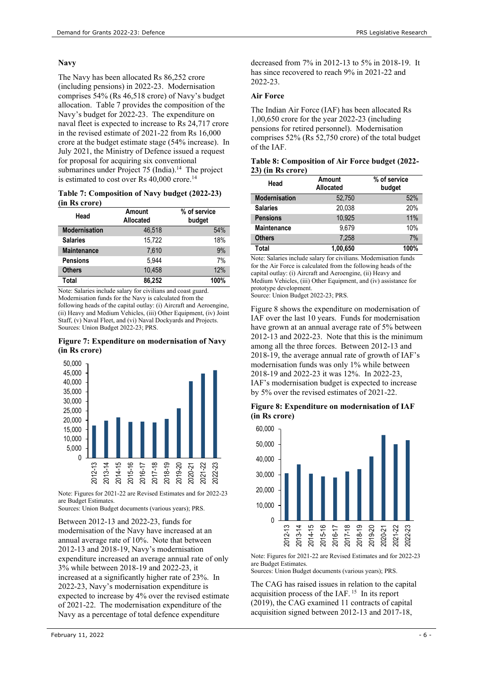## Navy

The Navy has been allocated Rs 86,252 crore (including pensions) in 2022-23. Modernisation comprises 54% (Rs 46,518 crore) of Navy's budget allocation. Table 7 provides the composition of the Navy's budget for 2022-23. The expenditure on naval fleet is expected to increase to Rs 24,717 crore in the revised estimate of 2021-22 from Rs 16,000 crore at the budget estimate stage (54% increase). In July 2021, the Ministry of Defence issued a request for proposal for acquiring six conventional submarines under Project  $75$  (India).<sup>14</sup> The project is estimated to cost over Rs 40,000 crore.<sup>14</sup>

#### Table 7: Composition of Navy budget (2022-23) (in Rs crore)

| Head                 | Amount<br>Allocated | % of service<br>budget |
|----------------------|---------------------|------------------------|
| <b>Modernisation</b> | 46.518              | 54%                    |
| <b>Salaries</b>      | 15.722              | 18%                    |
| <b>Maintenance</b>   | 7.610               | 9%                     |
| <b>Pensions</b>      | 5.944               | 7%                     |
| <b>Others</b>        | 10.458              | 12%                    |
| Total                | 86.252              | 100%                   |

Note: Salaries include salary for civilians and coast guard. Modernisation funds for the Navy is calculated from the following heads of the capital outlay: (i) Aircraft and Aeroengine, (ii) Heavy and Medium Vehicles, (iii) Other Equipment, (iv) Joint Staff, (v) Naval Fleet, and (vi) Naval Dockyards and Projects. Sources: Union Budget 2022-23; PRS.

#### Figure 7: Expenditure on modernisation of Navy (in Rs crore)



Note: Figures for 2021-22 are Revised Estimates and for 2022-23 are Budget Estimates.

Sources: Union Budget documents (various years); PRS.

Between 2012-13 and 2022-23, funds for modernisation of the Navy have increased at an annual average rate of 10%. Note that between 2012-13 and 2018-19, Navy's modernisation expenditure increased an average annual rate of only 3% while between 2018-19 and 2022-23, it increased at a significantly higher rate of 23%. In 2022-23, Navy's modernisation expenditure is expected to increase by 4% over the revised estimate of 2021-22. The modernisation expenditure of the Navy as a percentage of total defence expenditure

decreased from 7% in 2012-13 to 5% in 2018-19. It has since recovered to reach 9% in 2021-22 and 2022-23.

## Air Force

The Indian Air Force (IAF) has been allocated Rs 1,00,650 crore for the year 2022-23 (including pensions for retired personnel). Modernisation comprises 52% (Rs 52,750 crore) of the total budget of the IAF.

#### Table 8: Composition of Air Force budget (2022- 23) (in Rs crore)

| Head                 | Amount<br><b>Allocated</b> | % of service<br>budget |
|----------------------|----------------------------|------------------------|
| <b>Modernisation</b> | 52.750                     | 52%                    |
| <b>Salaries</b>      | 20,038                     | 20%                    |
| <b>Pensions</b>      | 10.925                     | 11%                    |
| <b>Maintenance</b>   | 9.679                      | 10%                    |
| <b>Others</b>        | 7.258                      | 7%                     |
| Total                | 1,00,650                   | 100%                   |

Note: Salaries include salary for civilians. Modernisation funds for the Air Force is calculated from the following heads of the capital outlay: (i) Aircraft and Aeroengine, (ii) Heavy and Medium Vehicles, (iii) Other Equipment, and (iv) assistance for prototype development.

Source: Union Budget 2022-23; PRS.

Figure 8 shows the expenditure on modernisation of IAF over the last 10 years. Funds for modernisation have grown at an annual average rate of 5% between 2012-13 and 2022-23. Note that this is the minimum among all the three forces. Between 2012-13 and 2018-19, the average annual rate of growth of IAF's modernisation funds was only 1% while between 2018-19 and 2022-23 it was 12%. In 2022-23, IAF's modernisation budget is expected to increase by 5% over the revised estimates of 2021-22.

Figure 8: Expenditure on modernisation of IAF (in Rs crore)



Note: Figures for 2021-22 are Revised Estimates and for 2022-23 are Budget Estimates.

Sources: Union Budget documents (various years); PRS.

The CAG has raised issues in relation to the capital acquisition process of the IAF.<sup>15</sup> In its report (2019), the CAG examined 11 contracts of capital acquisition signed between 2012-13 and 2017-18,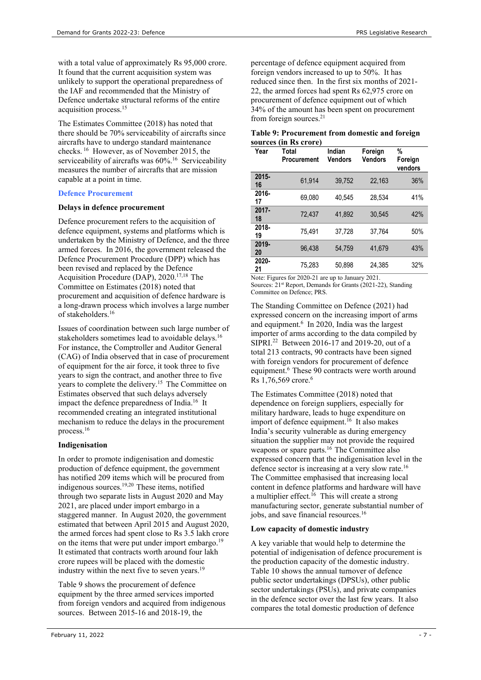with a total value of approximately Rs 95,000 crore. It found that the current acquisition system was unlikely to support the operational preparedness of the IAF and recommended that the Ministry of Defence undertake structural reforms of the entire acquisition process.<sup>15</sup>

The Estimates Committee (2018) has noted that there should be 70% serviceability of aircrafts since aircrafts have to undergo standard maintenance checks.<sup>16</sup> However, as of November 2015, the serviceability of aircrafts was  $60\%$ <sup>16</sup> Serviceability measures the number of aircrafts that are mission capable at a point in time.

## Defence Procurement

## Delays in defence procurement

Defence procurement refers to the acquisition of defence equipment, systems and platforms which is undertaken by the Ministry of Defence, and the three armed forces. In 2016, the government released the Defence Procurement Procedure (DPP) which has been revised and replaced by the Defence Acquisition Procedure (DAP), 2020.<sup>17,18</sup> The Committee on Estimates (2018) noted that procurement and acquisition of defence hardware is a long-drawn process which involves a large number of stakeholders.<sup>16</sup>

Issues of coordination between such large number of stakeholders sometimes lead to avoidable delays.<sup>16</sup> For instance, the Comptroller and Auditor General (CAG) of India observed that in case of procurement of equipment for the air force, it took three to five years to sign the contract, and another three to five years to complete the delivery.<sup>15</sup> The Committee on Estimates observed that such delays adversely impact the defence preparedness of India.<sup>16</sup> It recommended creating an integrated institutional mechanism to reduce the delays in the procurement process.<sup>16</sup>

## Indigenisation

In order to promote indigenisation and domestic production of defence equipment, the government has notified 209 items which will be procured from indigenous sources.19,20 These items, notified through two separate lists in August 2020 and May 2021, are placed under import embargo in a staggered manner. In August 2020, the government estimated that between April 2015 and August 2020, the armed forces had spent close to Rs 3.5 lakh crore on the items that were put under import embargo.<sup>19</sup> It estimated that contracts worth around four lakh crore rupees will be placed with the domestic industry within the next five to seven years.<sup>19</sup>

Table 9 shows the procurement of defence equipment by the three armed services imported from foreign vendors and acquired from indigenous sources. Between 2015-16 and 2018-19, the

percentage of defence equipment acquired from foreign vendors increased to up to 50%. It has reduced since then. In the first six months of 2021- 22, the armed forces had spent Rs 62,975 crore on procurement of defence equipment out of which 34% of the amount has been spent on procurement from foreign sources.<sup>21</sup>

| Table 9: Procurement from domestic and foreign |  |
|------------------------------------------------|--|
| sources (in Rs crore)                          |  |

| Year           | Total<br><b>Procurement</b> | Indian<br>Vendors | Foreign<br>Vendors | %<br>Foreign<br>vendors |
|----------------|-----------------------------|-------------------|--------------------|-------------------------|
| $2015 -$<br>16 | 61.914                      | 39,752            | 22,163             | 36%                     |
| 2016-<br>17    | 69.080                      | 40.545            | 28.534             | 41%                     |
| $2017 -$<br>18 | 72,437                      | 41.892            | 30,545             | 42%                     |
| 2018-<br>19    | 75.491                      | 37.728            | 37.764             | 50%                     |
| 2019-<br>20    | 96.438                      | 54.759            | 41.679             | 43%                     |
| 2020-<br>21    | 75.283                      | 50.898            | 24.385             | 32%                     |

Note: Figures for 2020-21 are up to January 2021. Sources: 21<sup>st</sup> Report, Demands for Grants (2021-22), Standing Committee on Defence; PRS.

The Standing Committee on Defence (2021) had expressed concern on the increasing import of arms and equipment.<sup>6</sup> In 2020, India was the largest importer of arms according to the data compiled by SIPRI.<sup>22</sup> Between 2016-17 and 2019-20, out of a total 213 contracts, 90 contracts have been signed with foreign vendors for procurement of defence equipment.<sup>6</sup> These 90 contracts were worth around Rs 1,76,569 crore.<sup>6</sup>

The Estimates Committee (2018) noted that dependence on foreign suppliers, especially for military hardware, leads to huge expenditure on import of defence equipment.<sup>16</sup> It also makes India's security vulnerable as during emergency situation the supplier may not provide the required weapons or spare parts.<sup>16</sup> The Committee also expressed concern that the indigenisation level in the defence sector is increasing at a very slow rate.<sup>16</sup> The Committee emphasised that increasing local content in defence platforms and hardware will have a multiplier effect.<sup>16</sup> This will create a strong manufacturing sector, generate substantial number of jobs, and save financial resources.<sup>16</sup>

## Low capacity of domestic industry

A key variable that would help to determine the potential of indigenisation of defence procurement is the production capacity of the domestic industry. Table 10 shows the annual turnover of defence public sector undertakings (DPSUs), other public sector undertakings (PSUs), and private companies in the defence sector over the last few years. It also compares the total domestic production of defence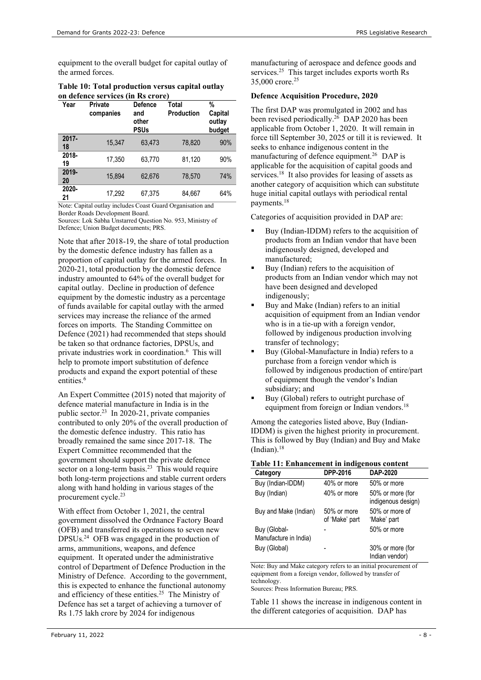equipment to the overall budget for capital outlay of the armed forces.

Table 10: Total production versus capital outlay on defence services (in Rs crore)

| Year           | Private<br>companies | <b>Defence</b><br>and<br>other<br><b>PSUs</b> | Total<br>Production | %<br>Capital<br>outlay<br>budget |
|----------------|----------------------|-----------------------------------------------|---------------------|----------------------------------|
| $2017 -$<br>18 | 15.347               | 63.473                                        | 78.820              | 90%                              |
| 2018-<br>19    | 17,350               | 63,770                                        | 81,120              | 90%                              |
| 2019-<br>20    | 15.894               | 62,676                                        | 78,570              | 74%                              |
| 2020-<br>21    | 17,292               | 67,375                                        | 84,667              | 64%                              |

Note: Capital outlay includes Coast Guard Organisation and Border Roads Development Board.

Sources: Lok Sabha Unstarred Question No. 953, Ministry of Defence; Union Budget documents; PRS.

Note that after 2018-19, the share of total production by the domestic defence industry has fallen as a proportion of capital outlay for the armed forces. In 2020-21, total production by the domestic defence industry amounted to 64% of the overall budget for capital outlay. Decline in production of defence equipment by the domestic industry as a percentage of funds available for capital outlay with the armed services may increase the reliance of the armed forces on imports. The Standing Committee on Defence (2021) had recommended that steps should be taken so that ordnance factories, DPSUs, and private industries work in coordination.<sup>6</sup> This will help to promote import substitution of defence products and expand the export potential of these entities.<sup>6</sup>

An Expert Committee (2015) noted that majority of defence material manufacture in India is in the public sector.<sup>23</sup> In 2020-21, private companies contributed to only 20% of the overall production of the domestic defence industry. This ratio has broadly remained the same since 2017-18. The Expert Committee recommended that the government should support the private defence sector on a long-term basis.<sup>23</sup> This would require both long-term projections and stable current orders along with hand holding in various stages of the procurement cycle.<sup>23</sup>

With effect from October 1, 2021, the central government dissolved the Ordnance Factory Board (OFB) and transferred its operations to seven new DPSUs.<sup>24</sup> OFB was engaged in the production of arms, ammunitions, weapons, and defence equipment. It operated under the administrative control of Department of Defence Production in the Ministry of Defence. According to the government, this is expected to enhance the functional autonomy and efficiency of these entities.<sup>25</sup> The Ministry of Defence has set a target of achieving a turnover of Rs 1.75 lakh crore by 2024 for indigenous

manufacturing of aerospace and defence goods and services.<sup>25</sup> This target includes exports worth Rs 35,000 crore.<sup>25</sup>

## Defence Acquisition Procedure, 2020

The first DAP was promulgated in 2002 and has been revised periodically.<sup>26</sup> DAP 2020 has been applicable from October 1, 2020. It will remain in force till September 30, 2025 or till it is reviewed. It seeks to enhance indigenous content in the manufacturing of defence equipment.<sup>26</sup> DAP is applicable for the acquisition of capital goods and services.<sup>18</sup> It also provides for leasing of assets as another category of acquisition which can substitute huge initial capital outlays with periodical rental payments.<sup>18</sup>

Categories of acquisition provided in DAP are:

- Buy (Indian-IDDM) refers to the acquisition of products from an Indian vendor that have been indigenously designed, developed and manufactured;
- Buy (Indian) refers to the acquisition of products from an Indian vendor which may not have been designed and developed indigenously;
- Buy and Make (Indian) refers to an initial acquisition of equipment from an Indian vendor who is in a tie-up with a foreign vendor, followed by indigenous production involving transfer of technology;
- Buy (Global-Manufacture in India) refers to a purchase from a foreign vendor which is followed by indigenous production of entire/part of equipment though the vendor's Indian subsidiary; and
- Buy (Global) refers to outright purchase of equipment from foreign or Indian vendors.<sup>18</sup>

Among the categories listed above, Buy (Indian-IDDM) is given the highest priority in procurement. This is followed by Buy (Indian) and Buy and Make  $(Indian).<sup>18</sup>$ 

## Table 11: Enhancement in indigenous content

| Category                              | DPP-2016                      | DAP-2020                               |
|---------------------------------------|-------------------------------|----------------------------------------|
| Buy (Indian-IDDM)                     | 40% or more                   | 50% or more                            |
| Buy (Indian)                          | 40% or more                   | 50% or more (for<br>indigenous design) |
| Buy and Make (Indian)                 | 50% or more<br>of 'Make' part | 50% or more of<br>'Make' part          |
| Buy (Global-<br>Manufacture in India) |                               | 50% or more                            |
| Buy (Global)                          |                               | 30% or more (for<br>Indian vendor)     |

Note: Buy and Make category refers to an initial procurement of equipment from a foreign vendor, followed by transfer of technology.

Sources: Press Information Bureau; PRS.

Table 11 shows the increase in indigenous content in the different categories of acquisition. DAP has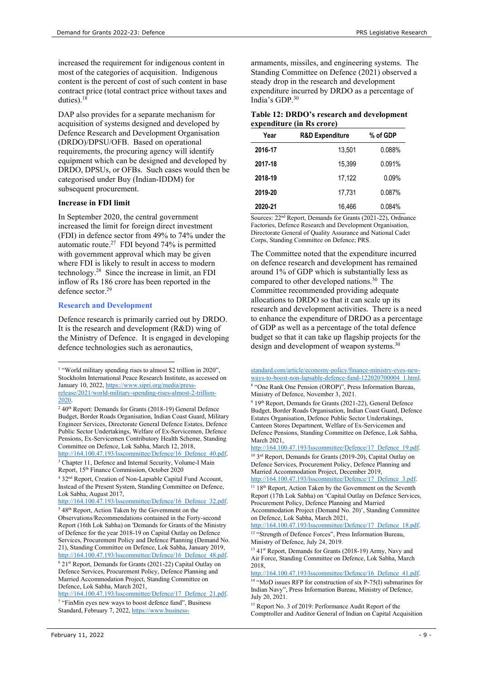increased the requirement for indigenous content in most of the categories of acquisition. Indigenous content is the percent of cost of such content in base contract price (total contract price without taxes and duties). $18$ 

DAP also provides for a separate mechanism for acquisition of systems designed and developed by Defence Research and Development Organisation (DRDO)/DPSU/OFB. Based on operational requirements, the procuring agency will identify equipment which can be designed and developed by DRDO, DPSUs, or OFBs. Such cases would then be categorised under Buy (Indian-IDDM) for subsequent procurement.

### Increase in FDI limit

In September 2020, the central government increased the limit for foreign direct investment (FDI) in defence sector from 49% to 74% under the automatic route.<sup>27</sup> FDI beyond 74% is permitted with government approval which may be given where FDI is likely to result in access to modern technology.<sup>28</sup> Since the increase in limit, an FDI inflow of Rs 186 crore has been reported in the defence sector.<sup>29</sup>

#### Research and Development

Defence research is primarily carried out by DRDO. It is the research and development (R&D) wing of the Ministry of Defence. It is engaged in developing defence technologies such as aeronautics,

<sup>6</sup> 21<sup>st</sup> Report, Demands for Grants (2021-22) Capital Outlay on Defence Services, Procurement Policy, Defence Planning and Married Accommodation Project, Standing Committee on Defence, Lok Sabha, March 2021,

http://164.100.47.193/lsscommittee/Defence/17\_Defence\_21.pdf. <sup>7</sup> "FinMin eyes new ways to boost defence fund", Business

armaments, missiles, and engineering systems. The Standing Committee on Defence (2021) observed a steady drop in the research and development expenditure incurred by DRDO as a percentage of India's GDP.<sup>30</sup>

## Table 12: DRDO's research and development expenditure (in Rs crore)

| Year    | <b>R&amp;D Expenditure</b> | % of GDP |
|---------|----------------------------|----------|
| 2016-17 | 13.501                     | 0.088%   |
| 2017-18 | 15.399                     | 0.091%   |
| 2018-19 | 17.122                     | 0.09%    |
| 2019-20 | 17.731                     | 0.087%   |
| 2020-21 | 16.466                     | 0.084%   |

Sources: 22nd Report, Demands for Grants (2021-22), Ordnance Factories, Defence Research and Development Organisation, Directorate General of Quality Assurance and National Cadet Corps, Standing Committee on Defence; PRS.

The Committee noted that the expenditure incurred on defence research and development has remained around 1% of GDP which is substantially less as compared to other developed nations.<sup>30</sup> The Committee recommended providing adequate allocations to DRDO so that it can scale up its research and development activities. There is a need to enhance the expenditure of DRDO as a percentage of GDP as well as a percentage of the total defence budget so that it can take up flagship projects for the design and development of weapon systems.<sup>30</sup>

<sup>&</sup>lt;sup>1</sup> "World military spending rises to almost \$2 trillion in 2020", Stockholm International Peace Research Institute, as accessed on January 10, 2022, https://www.sipri.org/media/pressrelease/2021/world-military-spending-rises-almost-2-trillion-2020.

<sup>&</sup>lt;sup>2</sup> 40<sup>th</sup> Report: Demands for Grants (2018-19) General Defence Budget, Border Roads Organisation, Indian Coast Guard, Military Engineer Services, Directorate General Defence Estates, Defence Public Sector Undertakings, Welfare of Ex-Servicemen, Defence Pensions, Ex-Servicemen Contributory Health Scheme, Standing Committee on Defence, Lok Sabha, March 12, 2018, http://164.100.47.193/lsscommittee/Defence/16\_Defence\_40.pdf.

<sup>&</sup>lt;sup>3</sup> Chapter 11, Defence and Internal Security, Volume-I Main Report, 15th Finance Commission, October 2020

<sup>&</sup>lt;sup>4</sup> 32<sup>nd</sup> Report, Creation of Non-Lapsable Capital Fund Account, Instead of the Present System, Standing Committee on Defence, Lok Sabha, August 2017,

http://164.100.47.193/lsscommittee/Defence/16\_Defence\_32.pdf. <sup>5</sup> 48<sup>th</sup> Report, Action Taken by the Government on the

Observations/Recommendations contained in the Forty-second Report (16th Lok Sabha) on 'Demands for Grants of the Ministry of Defence for the year 2018-19 on Capital Outlay on Defence Services, Procurement Policy and Defence Planning (Demand No. 21), Standing Committee on Defence, Lok Sabha, January 2019, http://164.100.47.193/lsscommittee/Defence/16\_Defence\_48.pdf.

Standard, February 7, 2022, https://www.business-

standard.com/article/economy-policy/finance-ministry-eyes-newways-to-boost-non-lapsable-defence-fund-122020700004\_1.html. 8 "One Rank One Pension (OROP)", Press Information Bureau,

Ministry of Defence, November 3, 2021.

<sup>&</sup>lt;sup>9</sup> 19<sup>th</sup> Report, Demands for Grants (2021-22), General Defence Budget, Border Roads Organisation, Indian Coast Guard, Defence Estates Organisation, Defence Public Sector Undertakings, Canteen Stores Department, Welfare of Ex-Servicemen and Defence Pensions, Standing Committee on Defence, Lok Sabha, March 2021,

http://164.100.47.193/lsscommittee/Defence/17\_Defence\_19.pdf. <sup>10</sup> 3rd Report, Demands for Grants (2019-20), Capital Outlay on Defence Services, Procurement Policy, Defence Planning and Married Accommodation Project, December 2019,

http://164.100.47.193/lsscommittee/Defence/17\_Defence\_3.pdf. <sup>11</sup> 18<sup>th</sup> Report, Action Taken by the Government on the Seventh

Report (17th Lok Sabha) on 'Capital Outlay on Defence Services, Procurement Policy, Defence Planning and Married

Accommodation Project (Demand No. 20)', Standing Committee on Defence, Lok Sabha, March 2021,

http://164.100.47.193/lsscommittee/Defence/17\_Defence\_18.pdf. <sup>12</sup> "Strength of Defence Forces", Press Information Bureau, Ministry of Defence, July 24, 2019.

<sup>&</sup>lt;sup>13</sup> 41<sup>st</sup> Report, Demands for Grants (2018-19) Army, Navy and Air Force, Standing Committee on Defence, Lok Sabha, March 2018,

http://164.100.47.193/lsscommittee/Defence/16\_Defence\_41.pdf.

<sup>&</sup>lt;sup>14</sup> "MoD issues RFP for construction of six P-75(I) submarines for Indian Navy", Press Information Bureau, Ministry of Defence, July 20, 2021.

<sup>15</sup> Report No. 3 of 2019: Performance Audit Report of the Comptroller and Auditor General of Indian on Capital Acquisition